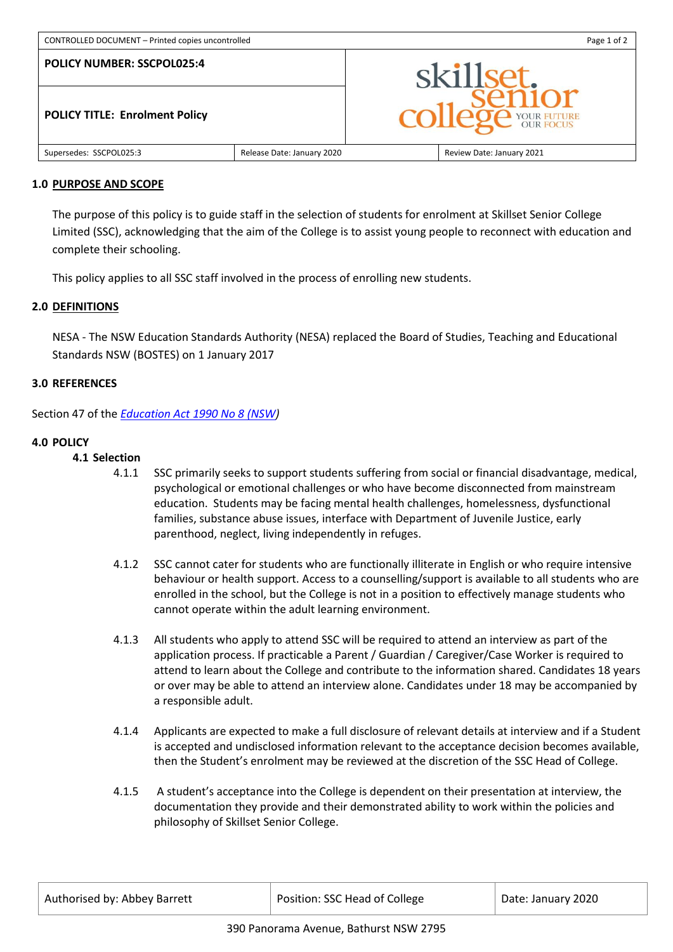| CONTROLLED DOCUMENT - Printed copies uncontrolled                          |  | Page 1 of 2                        |  |
|----------------------------------------------------------------------------|--|------------------------------------|--|
| <b>POLICY NUMBER: SSCPOL025:4</b><br><b>POLICY TITLE: Enrolment Policy</b> |  | skillset.<br><b>DE YOUR FUTURE</b> |  |
|                                                                            |  |                                    |  |

### **1.0 PURPOSE AND SCOPE**

The purpose of this policy is to guide staff in the selection of students for enrolment at Skillset Senior College Limited (SSC), acknowledging that the aim of the College is to assist young people to reconnect with education and complete their schooling.

This policy applies to all SSC staff involved in the process of enrolling new students.

## **2.0 DEFINITIONS**

NESA - The NSW Education Standards Authority (NESA) replaced the Board of Studies, Teaching and Educational Standards NSW (BOSTES) on 1 January 2017

## **3.0 REFERENCES**

Section 47 of the *[Education Act 1990 No 8 \(NSW\)](http://www.legislation.nsw.gov.au/)*

## **4.0 POLICY**

### **4.1 Selection**

- 4.1.1 SSC primarily seeks to support students suffering from social or financial disadvantage, medical, psychological or emotional challenges or who have become disconnected from mainstream education. Students may be facing mental health challenges, homelessness, dysfunctional families, substance abuse issues, interface with Department of Juvenile Justice, early parenthood, neglect, living independently in refuges.
- 4.1.2 SSC cannot cater for students who are functionally illiterate in English or who require intensive behaviour or health support. Access to a counselling/support is available to all students who are enrolled in the school, but the College is not in a position to effectively manage students who cannot operate within the adult learning environment.
- 4.1.3 All students who apply to attend SSC will be required to attend an interview as part of the application process. If practicable a Parent / Guardian / Caregiver/Case Worker is required to attend to learn about the College and contribute to the information shared. Candidates 18 years or over may be able to attend an interview alone. Candidates under 18 may be accompanied by a responsible adult.
- 4.1.4 Applicants are expected to make a full disclosure of relevant details at interview and if a Student is accepted and undisclosed information relevant to the acceptance decision becomes available, then the Student's enrolment may be reviewed at the discretion of the SSC Head of College.
- 4.1.5 A student's acceptance into the College is dependent on their presentation at interview, the documentation they provide and their demonstrated ability to work within the policies and philosophy of Skillset Senior College.

| Authorised by: Abbey Barrett | Position: SSC Head of College | Date: January 2020 |
|------------------------------|-------------------------------|--------------------|
|                              |                               |                    |